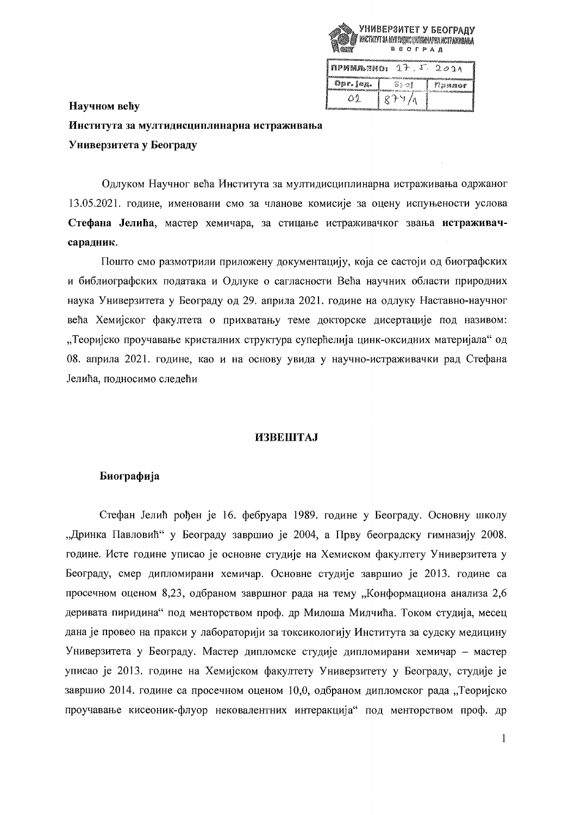

| inpermanen:<br>17.5.2011 |        |                |
|--------------------------|--------|----------------|
| Opr. jog.                | 图示调素   | វីនិងសាររបស់ត្ |
| 01.                      | $R+4/$ |                |

# Научном већу Института за мултидисциплинарна истраживања Универзитета у Београду

Одлуком Научног већа Института за мултидисциплинарна истраживања одржаног 13.05.2021. године, именовани смо за чланове комисије за оцену испуњености услова Стефана Јелића, мастер хемичара, за стицање истраживачког звања истраживачсарадник.

Пошто смо размотрили приложену документацију, која се састоји од биографских и библиографских података и Одлуке о сагласности Већа научних области природних наука Универзитета у Београду од 29. априла 2021. године на одлуку Наставно-научног већа Хемијског факултета о прихватању теме докторске дисертације под називом: "Теоријско проучавање кристалних структура суперћелија цинк-оксидних материјала" од 08. априла 2021. године, као и на основу увида у научно-истраживачки рад Стефана Јелића, подносимо следећи

# **ИЗВЕШТАЈ**

## Биографија

Стефан Јелић рођен је 16. фебруара 1989. године у Београду. Основну школу "Дринка Павловић" у Београду завршио је 2004, а Прву београдску гимназију 2008. године. Исте године уписао је основне студије на Хемиском факултету Универзитета у Београду, смер дипломирани хемичар. Основне студије завршио је 2013. године са просечном оценом 8,23, одбраном завршног рада на тему "Конформациона анализа 2,6 деривата пиридина" под менторством проф. др Милоша Милчића. Током студија, месец дана је провео на пракси у лабораторији за токсикологију Института за судску медицину Универзитета у Београду. Мастер дипломске студије дипломирани хемичар - мастер уписао је 2013. године на Хемијском факултету Универзитету у Београду, студије је завршио 2014. године са просечном оценом 10,0, одбраном дипломског рада "Теоријско проучавање кисеоник-флуор нековалентних интеракција" под менторством проф. др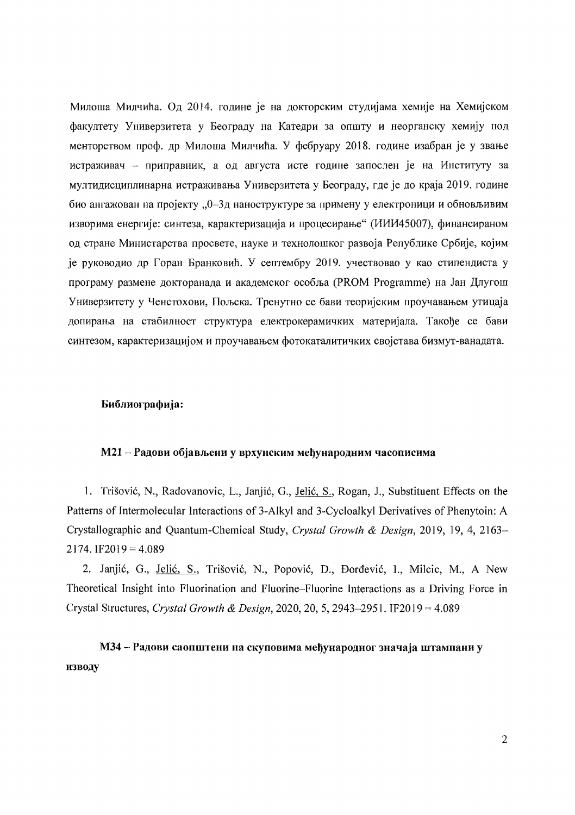Милоша Милчића. Од 2014. године је на докторским студијама хемије на Хемијском факултету Универзитета у Београду на Катедри за општу и неорганску хемију под менторством проф. др Милоша Милчића. У фебруару 2018. године изабран је у звање истраживач - приправник, а од августа исте године запослен је на Институту за мултидисциплинарна истраживања Универзитета у Београду, где је до краја 2019. године био ангажован на пројекту "0-3д наноструктуре за примену у електроници и обновљивим изворима енергије: синтеза, карактеризација и процесирање" (ИИИ45007), финансираном од стране Министарства просвете, науке и технолошког развоја Републике Србије, којим је руководио др Горан Бранковић. У септембру 2019. учествовао у као стипендиста у програму размене докторанада и академског особља (PROM Programme) на Јан Длугош Универзитету у Ченстохови, Пољска. Тренутно се бави теоријским проучавањем утицаја допирања на стабилност структура електрокерамичких материјала. Такође се бави синтезом, карактеризацијом и проучавањем фотокаталитичких својстава бизмут-ванадата.

## Библиографија:

# М21 - Радови објављени у врхунским међународним часописима

1. Trišović, N., Radovanovic, L., Janjić, G., Jelić, S., Rogan, J., Substituent Effects on the Patterns of Intermolecular Interactions of 3-Alkyl and 3-Cycloalkyl Derivatives of Phenytoin: A Crystallographic and Quantum-Chemical Study, Crystal Growth & Design, 2019, 19, 4, 2163– 2174. IF2019 =  $4,089$ 

2. Janjić, G., Jelić, S., Trišović, N., Popović, D., Đorđević, I., Milcic, M., A New Theoretical Insight into Fluorination and Fluorine–Fluorine Interactions as a Driving Force in Crystal Structures, Crystal Growth & Design, 2020, 20, 5, 2943-2951. IF2019 =  $4.089$ 

МЗ4 - Радови саопштени на скуповима међународног значаја штампани у изводу